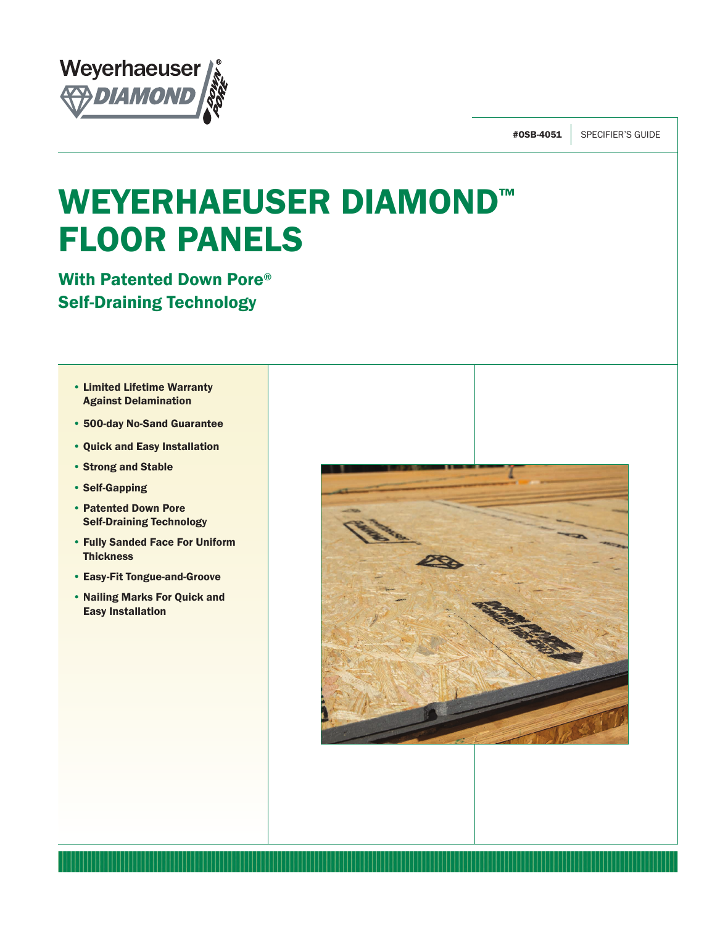

#0SB-4051 SPECIFIER'S GUIDE

# WEYERHAEUSER DIAMOND™ FLOOR PANELS

With Patented Down Pore® Self-Draining Technology

- Limited Lifetime Warranty Against Delamination
- 500-day No-Sand Guarantee
- Quick and Easy Installation
- Strong and Stable
- Self-Gapping
- Patented Down Pore Self-Draining Technology
- Fully Sanded Face For Uniform **Thickness**
- Easy-Fit Tongue-and-Groove
- Nailing Marks For Quick and Easy Installation

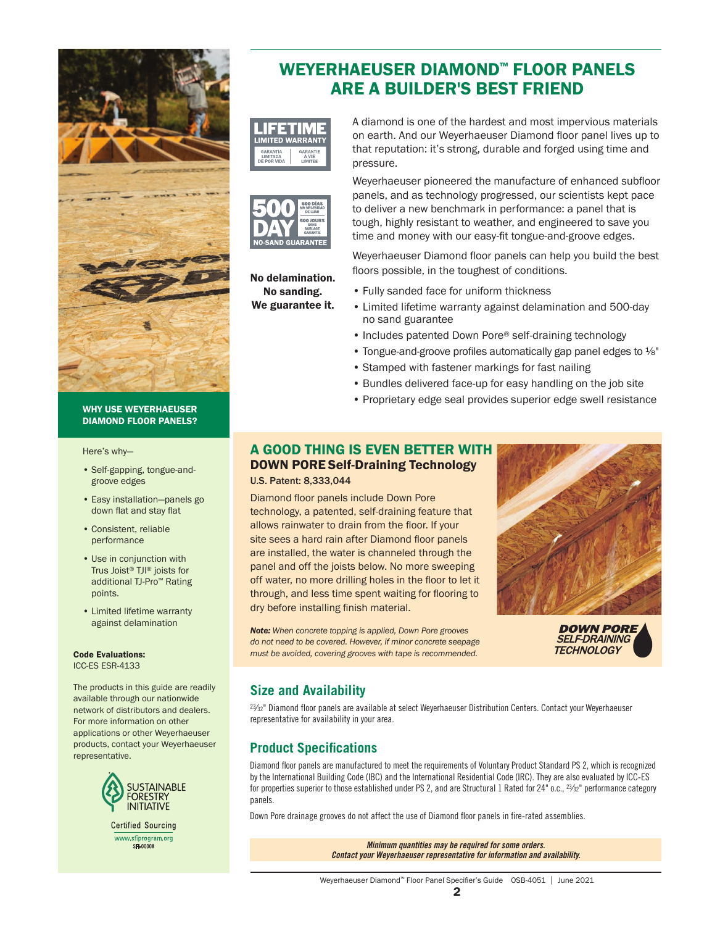

#### WHY USE WEYERHAEUSER DIAMOND FLOOR PANELS?

Here's why—

- Self-gapping, tongue-andgroove edges
- Easy installation—panels go down flat and stay flat
- Consistent, reliable performance
- Use in conjunction with Trus Joist® TJI® joists for additional TJ-Pro™ Rating points.
- Limited lifetime warranty against delamination

Code Evaluations:

ICC-ES ESR-4133

The products in this guide are readily available through our nationwide network of distributors and dealers. For more information on other applications or other Weyerhaeuser products, contact your Weyerhaeuser representative.



# WEYERHAEUSER DIAMOND™ FLOOR PANELS ARE A BUILDER'S BEST FRIEND





No delamination. No sanding. We guarantee it.

A diamond is one of the hardest and most impervious materials on earth. And our Weyerhaeuser Diamond floor panel lives up to that reputation: it's strong, durable and forged using time and pressure.

Weyerhaeuser pioneered the manufacture of enhanced subfloor panels, and as technology progressed, our scientists kept pace to deliver a new benchmark in performance: a panel that is tough, highly resistant to weather, and engineered to save you time and money with our easy-fit tongue-and-groove edges.

Weyerhaeuser Diamond floor panels can help you build the best floors possible, in the toughest of conditions.

- Fully sanded face for uniform thickness
- Limited lifetime warranty against delamination and 500-day no sand guarantee
- Includes patented Down Pore® self-draining technology
- Tongue-and-groove profiles automatically gap panel edges to ⅛"
- Stamped with fastener markings for fast nailing
- Bundles delivered face-up for easy handling on the job site
- Proprietary edge seal provides superior edge swell resistance

### A GOOD THING IS EVEN BETTER WITH DOWN PORE Self-Draining Technology U.S. Patent: 8,333,044

Diamond floor panels include Down Pore technology, a patented, self-draining feature that allows rainwater to drain from the floor. If your site sees a hard rain after Diamond floor panels are installed, the water is channeled through the panel and off the joists below. No more sweeping off water, no more drilling holes in the floor to let it through, and less time spent waiting for flooring to dry before installing finish material.

*Note: When concrete topping is applied, Down Pore grooves do not need to be covered. However, if minor concrete seepage must be avoided, covering grooves with tape is recommended.*



**DOWN PORE SELF-DRAINING TECHNOLOGY** 

# **Size and Availability**

23⁄32" Diamond floor panels are available at select Weyerhaeuser Distribution Centers. Contact your Weyerhaeuser representative for availability in your area.

# **Product Specifications**

Diamond floor panels are manufactured to meet the requirements of Voluntary Product Standard PS 2, which is recognized by the International Building Code (IBC) and the International Residential Code (IRC). They are also evaluated by ICC-ES for properties superior to those established under PS 2, and are Structural 1 Rated for 24" o.c., <sup>23</sup>/<sub>22</sub>" performance category panels.

Down Pore drainage grooves do not affect the use of Diamond floor panels in fire-rated assemblies.

*Minimum quantities may be required for some orders. Contact your Weyerhaeuser representative for information and availability.*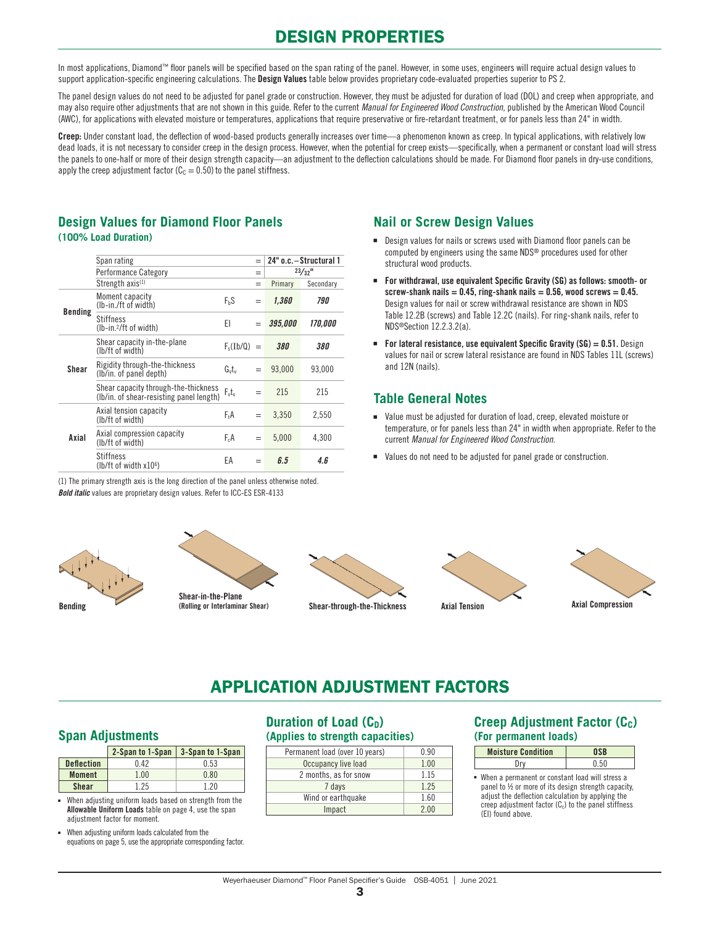# DESIGN PROPERTIES

In most applications, Diamond™ floor panels will be specified based on the span rating of the panel. However, in some uses, engineers will require actual design values to support application-specific engineering calculations. The Design Values table below provides proprietary code-evaluated properties superior to PS 2.

The panel design values do not need to be adjusted for panel grade or construction. However, they must be adjusted for duration of load (DOL) and creep when appropriate, and may also require other adjustments that are not shown in this guide. Refer to the current *Manual for Engineered Wood Construction*, published by the American Wood Council (AWC), for applications with elevated moisture or temperatures, applications that require preservative or fire-retardant treatment, or for panels less than 24" in width.

Creep: Under constant load, the deflection of wood-based products generally increases over time—a phenomenon known as creep. In typical applications, with relatively low dead loads, it is not necessary to consider creep in the design process. However, when the potential for creep exists—specifically, when a permanent or constant load will stress the panels to one-half or more of their design strength capacity—an adjustment to the deflection calculations should be made. For Diamond floor panels in dry-use conditions, apply the creep adjustment factor ( $C_c = 0.50$ ) to the panel stiffness.

### **Design Values for Diamond Floor Panels (100% Load Duration)**

|                | Span rating                                                                                |                  | $=$ |                       | 24" o.c. - Structural 1 |
|----------------|--------------------------------------------------------------------------------------------|------------------|-----|-----------------------|-------------------------|
|                | <b>Performance Category</b>                                                                |                  | =   |                       | $23/32$ <sup>11</sup>   |
|                | Strength axis <sup>(1)</sup>                                                               |                  | $=$ | Primary               | Secondary               |
| <b>Bending</b> | Moment capacity<br>(Ib-in./ft of width)                                                    | $F_hS$           | =   | 1,360                 | 790                     |
|                | <b>Stiffness</b><br>(Ib-in. <sup>2</sup> /ft of width)                                     | ΕI               | $=$ | <i><b>395,000</b></i> | 170.000                 |
|                | Shear capacity in-the-plane<br>(lb/ft of width)                                            | $F_s(Ib/Q) =$    |     | <i><b>380</b></i>     | 380                     |
| Shear          | Rigidity through-the-thickness<br>G <sub>v</sub> t <sub>v</sub><br>(lb/in. of panel depth) |                  |     | 93,000                | 93,000                  |
|                | Shear capacity through-the-thickness<br>(lb/in. of shear-resisting panel length)           | $F_vt_v$         | $=$ | 215                   | 215                     |
|                | Axial tension capacity<br>(lb/ft of width)                                                 | F <sub>t</sub> A | $=$ | 3,350                 | 2,550                   |
| Axial          | Axial compression capacity<br>(lb/ft of width)                                             | $F_cA$           | $=$ | 5,000                 | 4.300                   |
|                | <b>Stiffness</b><br>$(lb/ft$ of width $x106$ )                                             | ЕA               | $=$ | 6.5                   | 4. <sub>6</sub>         |

(1) The primary strength axis is the long direction of the panel unless otherwise noted. *Bold italic* values are proprietary design values. Refer to ICC-ES ESR-4133

# **Nail or Screw Design Values**

- Design values for nails or screws used with Diamond floor panels can be computed by engineers using the same NDS® procedures used for other structural wood products.
- For withdrawal, use equivalent Specific Gravity (SG) as follows: smooth- or screw-shank nails =  $0.45$ , ring-shank nails =  $0.56$ , wood screws =  $0.45$ . Design values for nail or screw withdrawal resistance are shown in NDS Table 12.2B (screws) and Table 12.2C (nails). For ring-shank nails, refer to NDS®Section 12.2.3.2(a).
- **For lateral resistance, use equivalent Specific Gravity (SG) = 0.51.** Design values for nail or screw lateral resistance are found in NDS Tables 11L (screws) and 12N (nails).

# **Table General Notes**

- Value must be adjusted for duration of load, creep, elevated moisture or temperature, or for panels less than 24" in width when appropriate. Refer to the current *Manual for Engineered Wood Construction*.
- Values do not need to be adjusted for panel grade or construction.





Shear-in-the-Plane<br>(Rolling or Interlaminar Shear) Bending (Rolling or Interlaminar Shear) Shear-through-the-Thickness







# APPLICATION ADJUSTMENT FACTORS

# **Span Adjustments**

|                   | 2-Span to 1-Span | 3-Span to 1-Span |
|-------------------|------------------|------------------|
| <b>Deflection</b> | በ 42             | 0.53             |
| <b>Moment</b>     | 1.00             | 0.80             |
| <b>Shear</b>      | 1 25             | 1 20             |

When adjusting uniform loads based on strength from the Allowable Uniform Loads table on [page 4,](#page-3-0) use the span adjustment factor for moment.

■ When adjusting uniform loads calculated from the equations on [page 5,](#page-4-0) use the appropriate corresponding factor.

# **Duration of Load (C<sub>D</sub>) (Applies to strength capacities)**

| Permanent load (over 10 years) | 0.90  |
|--------------------------------|-------|
| Occupancy live load            | 1.00  |
| 2 months, as for snow          | 1 1 5 |
| 7 days                         | 1 2 5 |
| Wind or earthquake             | 1.60  |
| Impact                         | 200   |

# **Creep Adjustment Factor (Cc) (For permanent loads)**

| <b>Moisture Condition</b> |  |
|---------------------------|--|
|                           |  |

■ When a permanent or constant load will stress a panel to ½ or more of its design strength capacity, adjust the deflection calculation by applying the creep adjustment factor  $(C_c)$  to the panel stiffness (EI) found above.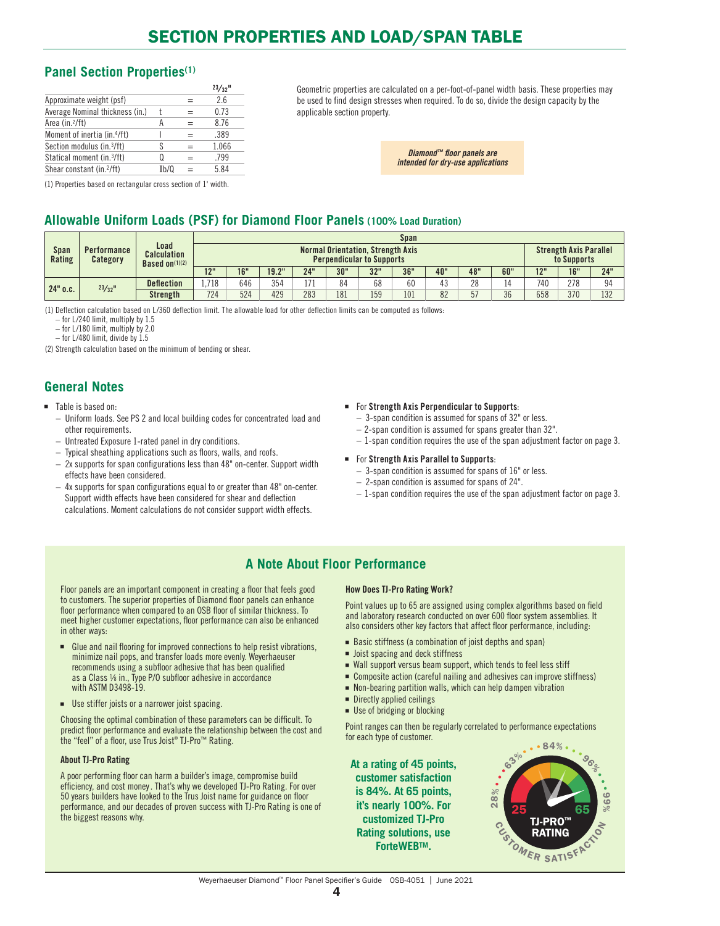# <span id="page-3-0"></span>**Panel Section Properties(1)**

|                                        |      | $23/32$ <sup>11</sup> |
|----------------------------------------|------|-----------------------|
| Approximate weight (psf)               |      | 26                    |
| Average Nominal thickness (in.)        |      | 0.73                  |
| Area (in. <sup>2</sup> /ft)            | А    | 8.76                  |
| Moment of inertia (in.4/ft)            |      | .389                  |
| Section modulus (in. <sup>3</sup> /ft) | S    | 1.066                 |
| Statical moment (in.3/ft)              | O    | .799                  |
| Shear constant (in. <sup>2</sup> /ft)  | Ib/Q | 5.84                  |

Geometric properties are calculated on a per-foot-of-panel width basis. These properties may be used to find design stresses when required. To do so, divide the design capacity by the applicable section property.

> *Diamond™ floor panels are intended for dry-use applications*

#### (1) Properties based on rectangular cross section of 1' width.

# **Allowable Uniform Loads (PSF) for Diamond Floor Panels (100% Load Duration)**

|                |                                |                                                 | <b>Span</b> |                                                                              |       |     |     |     |     |     |     |     |     |             |                               |  |
|----------------|--------------------------------|-------------------------------------------------|-------------|------------------------------------------------------------------------------|-------|-----|-----|-----|-----|-----|-----|-----|-----|-------------|-------------------------------|--|
| Span<br>Rating | <b>Performance</b><br>Category | Load<br><b>Calculation</b><br>Based on $(1)(2)$ |             | <b>Normal Orientation, Strength Axis</b><br><b>Perpendicular to Supports</b> |       |     |     |     |     |     |     |     |     | to Supports | <b>Strength Axis Parallel</b> |  |
|                |                                |                                                 | 12"         | 16"                                                                          | 19.2" | 24" | 30" | 32" | 36" | 40" | 48" | 60" | 12" | 16"         | 24"                           |  |
| $24"$ o.c.     | $23/32$ <sup>11</sup>          | <b>Deflection</b>                               | .718        | 646                                                                          | 354   | 171 | 84  | 68  | 60  | 43  | 28  | 14  | 740 | 278         | 94                            |  |
|                |                                | Strength                                        | 724         | 524                                                                          | 429   | 283 | 181 | 159 | 101 | 82  | 57  | 36  | 658 | 370         | 132                           |  |

(1) Deflection calculation based on L/360 deflection limit. The allowable load for other deflection limits can be computed as follows:

– for L/240 limit, multiply by 1.5

– for L/180 limit, multiply by 2.0

– for L/480 limit, divide by 1.5

(2) Strength calculation based on the minimum of bending or shear.

# **General Notes**

#### ■ Table is based on:

- Uniform loads. See PS 2 and local building codes for concentrated load and other requirements.
- Untreated Exposure 1-rated panel in dry conditions.
- Typical sheathing applications such as floors, walls, and roofs.
- 2x supports for span configurations less than 48" on-center. Support width effects have been considered.
- 4x supports for span configurations equal to or greater than 48" on-center. Support width effects have been considered for shear and deflection calculations. Moment calculations do not consider support width effects.

#### ■ For Strength Axis Perpendicular to Supports:

- 3-span condition is assumed for spans of 32" or less.
- 2-span condition is assumed for spans greater than 32".
- 1-span condition requires the use of the span adjustment factor on page 3.
- For Strength Axis Parallel to Supports:
	- 3-span condition is assumed for spans of 16" or less.
	- 2-span condition is assumed for spans of 24".
	- 1-span condition requires the use of the span adjustment factor on page 3.

# **A Note About Floor Performance**

Floor panels are an important component in creating a floor that feels good to customers. The superior properties of Diamond floor panels can enhance floor performance when compared to an OSB floor of similar thickness. To meet higher customer expectations, floor performance can also be enhanced in other ways:

- Glue and nail flooring for improved connections to help resist vibrations, minimize nail pops, and transfer loads more evenly. Weyerhaeuser recommends using a subfloor adhesive that has been qualified as a Class 1/8 in., Type P/O subfloor adhesive in accordance with ASTM D3498-19.
- Use stiffer joists or a narrower joist spacing.

Choosing the optimal combination of these parameters can be difficult. To predict floor performance and evaluate the relationship between the cost and the "feel" of a floor, use Trus Joist® TJ-Pro™ Rating.

#### About TJ-Pro Rating

A poor performing floor can harm a builder's image, compromise build efficiency, and cost money. That's why we developed TJ-Pro Rating. For over 50 years builders have looked to the Trus Joist name for guidance on floor performance, and our decades of proven success with TJ-Pro Rating is one of the biggest reasons why.

#### How Does TJ-Pro Rating Work?

Point values up to 65 are assigned using complex algorithms based on field and laboratory research conducted on over 600 floor system assemblies. It also considers other key factors that affect floor performance, including:

- Basic stiffness (a combination of joist depths and span)
- Joist spacing and deck stiffness
- Wall support versus beam support, which tends to feel less stiff
- Composite action (careful nailing and adhesives can improve stiffness)
- Non-bearing partition walls, which can help dampen vibration
- Directly applied ceilings
- Use of bridging or blocking

Point ranges can then be regularly correlated to performance expectations for each type of customer.

**At a rating of 45 points, customer satisfaction is 84%. At 65 points, it's nearly 100%. For customized TJ-Pro Rating solutions, use [ForteWEBTM.](https://www.weyerhaeuser.com/woodproducts/software-learning/forte-software/)**

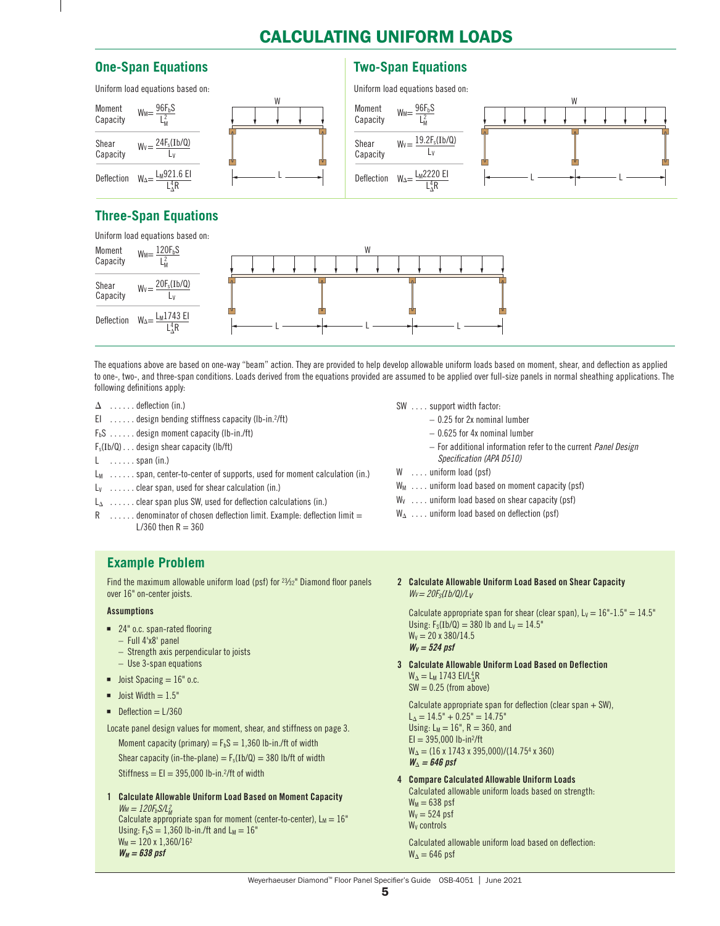# CALCULATING UNIFORM LOADS

### <span id="page-4-0"></span>**One-Span Equations**

### **Two-Span Equations**



# **Three-Span Equations**



The equations above are based on one-way "beam" action. They are provided to help develop allowable uniform loads based on moment, shear, and deflection as applied to one-, two-, and three-span conditions. Loads derived from the equations provided are assumed to be applied over full-size panels in normal sheathing applications. The following definitions apply:

- $\Delta$  ...... deflection (in.)
- El ......design bending stiffness capacity (lb-in.<sup>2</sup>/ft)
- $F_bS$  ...... design moment capacity (lb-in./ft)
- Fs(Ib/Q) . . design shear capacity (lb/ft)
- $L \quad \ldots \ldots$  span (in.)
- $L_M$  ...... span, center-to-center of supports, used for moment calculation (in.)
- $L_v$  ...... clear span, used for shear calculation (in.)
- LΔ . . clear span plus SW, used for deflection calculations (in.)
- $R$  . . . . . . denominator of chosen deflection limit. Example: deflection limit = L/360 then  $R = 360$

# **Example Problem**

Find the maximum allowable uniform load (psf) for 23⁄32" Diamond floor panels over 16" on-center joists.

#### Assumptions

- 24" o.c. span-rated flooring
	- Full 4'x8' panel
	- Strength axis perpendicular to joists
	- Use 3-span equations
- $\blacksquare$  Joist Spacing = 16" o.c.
- $\blacksquare$  Joist Width  $= 1.5"$
- Deflection = L/360

Locate panel design values for moment, shear, and stiffness on page 3.

Moment capacity (primary) =  $F_bS = 1,360$  lb-in./ft of width Shear capacity (in-the-plane) =  $F_s(Ib/Q)$  = 380 lb/ft of width Stiffness =  $EI = 395,000$  lb-in.<sup>2</sup>/ft of width

1 Calculate Allowable Uniform Load Based on Moment Capacity  $W_M = 120F_bS/L_M^2$ *M*<sup>2</sup> = 2207<sub>0</sub>02<sub>M</sub><br>Calculate appropriate span for moment (center-to-center), L<sub>M</sub> = 16"

Using:  $F_bS = 1,360$  lb-in./ft and  $L_M = 16$ "  $W_M = 120 \times 1,360/16^2$ *WM = 638 psf*

- SW . . . . support width factor:
	- 0.25 for 2x nominal lumber
		- 0.625 for 4x nominal lumber
		- For additional information refer to the current *Panel Design Specification (APA D510)*
- W .... uniform load (psf)
- $W_M$  .... uniform load based on moment capacity (psf)
- $W_V$  .... uniform load based on shear capacity (psf)
- $W_{\Delta}$  .... uniform load based on deflection (psf)
- 2 Calculate Allowable Uniform Load Based on Shear Capacity *WV= 20FS(Ib/Q)/Lv*

Calculate appropriate span for shear (clear span),  $L_v = 16"$ -1.5" = 14.5" Using:  $F_S(1b/Q) = 380$  lb and  $L_V = 14.5$ "  $W<sub>V</sub> = 20 \times 380/14.5$  $W_V = 524$  psf

3 Calculate Allowable Uniform Load Based on Deflection  $W_{\Delta} = L_M$  1743 EI/L $_{\Delta}^{4}R$  $SW = 0.25$  (from above)

 Calculate appropriate span for deflection (clear span + SW),  $L_{\Delta} = 14.5" + 0.25" = 14.75"$ Using:  $L_M = 16$ ",  $R = 360$ , and  $EI = 395,000 lb-in^2/ft$  $W_{\Delta} = (16 \times 1743 \times 395,000)/(14.754 \times 360)$  $W_{\Lambda} = 646$  psf

4 Compare Calculated Allowable Uniform Loads

Calculated allowable uniform loads based on strength:  $W_M = 638$  psf  $W_V = 524$  psf W<sub>v</sub> controls

 Calculated allowable uniform load based on deflection:  $W_0 = 646$  psf